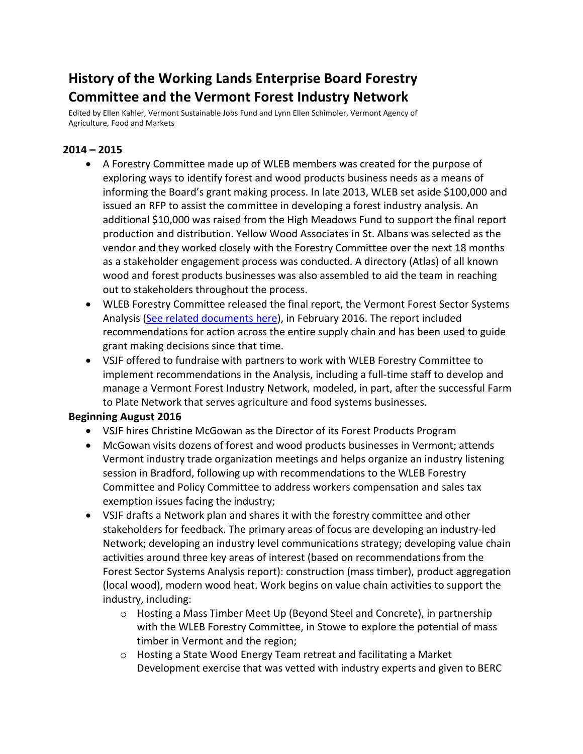# **History of the Working Lands Enterprise Board Forestry Committee and the Vermont Forest Industry Network**

Edited by Ellen Kahler, Vermont Sustainable Jobs Fund and Lynn Ellen Schimoler, Vermont Agency of Agriculture, Food and Markets

# **2014 – 2015**

- A Forestry Committee made up of WLEB members was created for the purpose of exploring ways to identify forest and wood products business needs as a means of informing the Board's grant making process. In late 2013, WLEB set aside \$100,000 and issued an RFP to assist the committee in developing a forest industry analysis. An additional \$10,000 was raised from the High Meadows Fund to support the final report production and distribution. Yellow Wood Associates in St. Albans was selected as the vendor and they worked closely with the Forestry Committee over the next 18 months as a stakeholder engagement process was conducted. A directory (Atlas) of all known wood and forest products businesses was also assembled to aid the team in reaching out to stakeholders throughout the process.
- WLEB Forestry Committee released the final report, the Vermont Forest Sector Systems Analysis [\(See related documents here\)](https://workinglands.vermont.gov/business-toolkit-resources/forest-systems-analysis), in February 2016. The report included recommendations for action across the entire supply chain and has been used to guide grant making decisions since that time.
- VSJF offered to fundraise with partners to work with WLEB Forestry Committee to implement recommendations in the Analysis, including a full-time staff to develop and manage a Vermont Forest Industry Network, modeled, in part, after the successful Farm to Plate Network that serves agriculture and food systems businesses.

#### **Beginning August 2016**

- VSJF hires Christine McGowan as the Director of its Forest Products Program
- McGowan visits dozens of forest and wood products businesses in Vermont; attends Vermont industry trade organization meetings and helps organize an industry listening session in Bradford, following up with recommendations to the WLEB Forestry Committee and Policy Committee to address workers compensation and sales tax exemption issues facing the industry;
- VSJF drafts a Network plan and shares it with the forestry committee and other stakeholders for feedback. The primary areas of focus are developing an industry-led Network; developing an industry level communications strategy; developing value chain activities around three key areas of interest (based on recommendations from the Forest Sector Systems Analysis report): construction (mass timber), product aggregation (local wood), modern wood heat. Work begins on value chain activities to support the industry, including:
	- $\circ$  Hosting a Mass Timber Meet Up (Beyond Steel and Concrete), in partnership with the WLEB Forestry Committee, in Stowe to explore the potential of mass timber in Vermont and the region;
	- o Hosting a State Wood Energy Team retreat and facilitating a Market Development exercise that was vetted with industry experts and given to BERC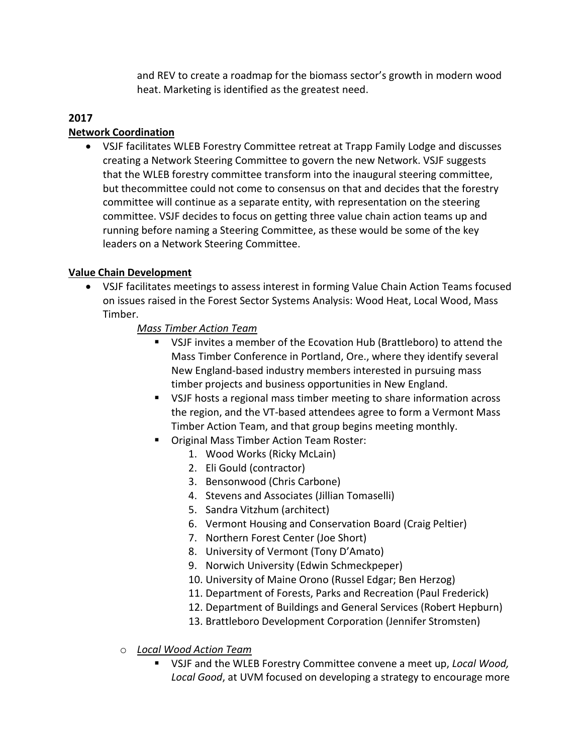and REV to create a roadmap for the biomass sector's growth in modern wood heat. Marketing is identified as the greatest need.

## **2017**

#### **Network Coordination**

• VSJF facilitates WLEB Forestry Committee retreat at Trapp Family Lodge and discusses creating a Network Steering Committee to govern the new Network. VSJF suggests that the WLEB forestry committee transform into the inaugural steering committee, but thecommittee could not come to consensus on that and decides that the forestry committee will continue as a separate entity, with representation on the steering committee. VSJF decides to focus on getting three value chain action teams up and running before naming a Steering Committee, as these would be some of the key leaders on a Network Steering Committee.

#### **Value Chain Development**

- VSJF facilitates meetings to assess interest in forming Value Chain Action Teams focused on issues raised in the Forest Sector Systems Analysis: Wood Heat, Local Wood, Mass Timber.
	- *Mass Timber Action Team*
		- VSJF invites a member of the Ecovation Hub (Brattleboro) to attend the Mass Timber Conference in Portland, Ore., where they identify several New England-based industry members interested in pursuing mass timber projects and business opportunities in New England.
		- VSJF hosts a regional mass timber meeting to share information across the region, and the VT-based attendees agree to form a Vermont Mass Timber Action Team, and that group begins meeting monthly.
		- **Original Mass Timber Action Team Roster:** 
			- 1. Wood Works (Ricky McLain)
			- 2. Eli Gould (contractor)
			- 3. Bensonwood (Chris Carbone)
			- 4. Stevens and Associates (Jillian Tomaselli)
			- 5. Sandra Vitzhum (architect)
			- 6. Vermont Housing and Conservation Board (Craig Peltier)
			- 7. Northern Forest Center (Joe Short)
			- 8. University of Vermont (Tony D'Amato)
			- 9. Norwich University (Edwin Schmeckpeper)
			- 10. University of Maine Orono (Russel Edgar; Ben Herzog)
			- 11. Department of Forests, Parks and Recreation (Paul Frederick)
			- 12. Department of Buildings and General Services (Robert Hepburn)
			- 13. Brattleboro Development Corporation (Jennifer Stromsten)

#### o *Local Wood Action Team*

 VSJF and the WLEB Forestry Committee convene a meet up, *Local Wood, Local Good*, at UVM focused on developing a strategy to encourage more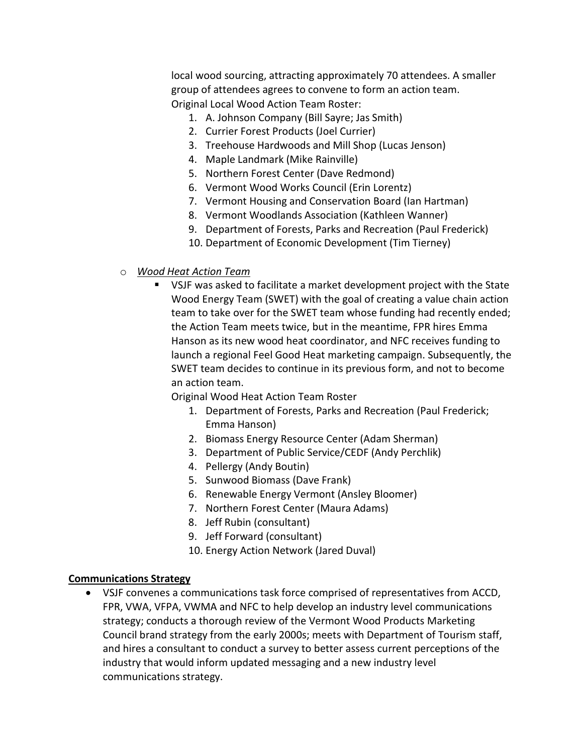local wood sourcing, attracting approximately 70 attendees. A smaller group of attendees agrees to convene to form an action team. Original Local Wood Action Team Roster:

- 1. A. Johnson Company (Bill Sayre; Jas Smith)
- 2. Currier Forest Products (Joel Currier)
- 3. Treehouse Hardwoods and Mill Shop (Lucas Jenson)
- 4. Maple Landmark (Mike Rainville)
- 5. Northern Forest Center (Dave Redmond)
- 6. Vermont Wood Works Council (Erin Lorentz)
- 7. Vermont Housing and Conservation Board (Ian Hartman)
- 8. Vermont Woodlands Association (Kathleen Wanner)
- 9. Department of Forests, Parks and Recreation (Paul Frederick)
- 10. Department of Economic Development (Tim Tierney)
- o *Wood Heat Action Team*
	- VSJF was asked to facilitate a market development project with the State Wood Energy Team (SWET) with the goal of creating a value chain action team to take over for the SWET team whose funding had recently ended; the Action Team meets twice, but in the meantime, FPR hires Emma Hanson as its new wood heat coordinator, and NFC receives funding to launch a regional Feel Good Heat marketing campaign. Subsequently, the SWET team decides to continue in its previous form, and not to become an action team.

Original Wood Heat Action Team Roster

- 1. Department of Forests, Parks and Recreation (Paul Frederick; Emma Hanson)
- 2. Biomass Energy Resource Center (Adam Sherman)
- 3. Department of Public Service/CEDF (Andy Perchlik)
- 4. Pellergy (Andy Boutin)
- 5. Sunwood Biomass (Dave Frank)
- 6. Renewable Energy Vermont (Ansley Bloomer)
- 7. Northern Forest Center (Maura Adams)
- 8. Jeff Rubin (consultant)
- 9. Jeff Forward (consultant)
- 10. Energy Action Network (Jared Duval)

#### **Communications Strategy**

• VSJF convenes a communications task force comprised of representatives from ACCD, FPR, VWA, VFPA, VWMA and NFC to help develop an industry level communications strategy; conducts a thorough review of the Vermont Wood Products Marketing Council brand strategy from the early 2000s; meets with Department of Tourism staff, and hires a consultant to conduct a survey to better assess current perceptions of the industry that would inform updated messaging and a new industry level communications strategy.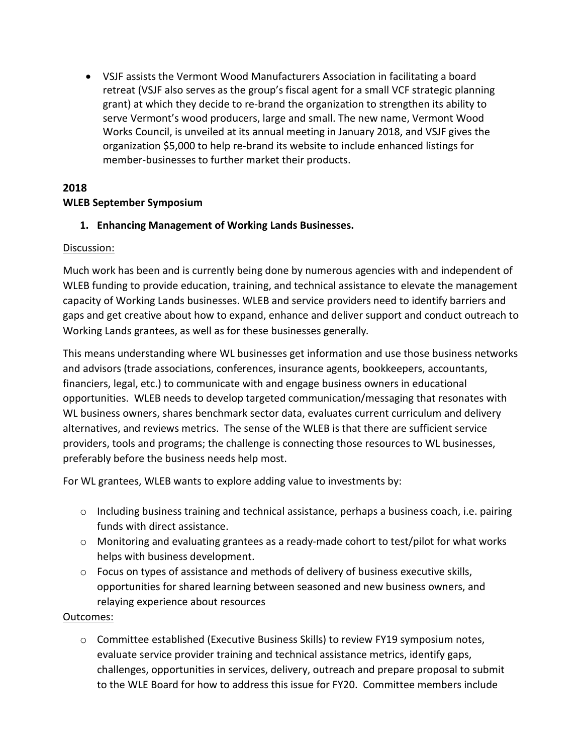• VSJF assists the Vermont Wood Manufacturers Association in facilitating a board retreat (VSJF also serves as the group's fiscal agent for a small VCF strategic planning grant) at which they decide to re-brand the organization to strengthen its ability to serve Vermont's wood producers, large and small. The new name, Vermont Wood Works Council, is unveiled at its annual meeting in January 2018, and VSJF gives the organization \$5,000 to help re-brand its website to include enhanced listings for member-businesses to further market their products.

# **2018 WLEB September Symposium**

## **1. Enhancing Management of Working Lands Businesses.**

#### Discussion:

Much work has been and is currently being done by numerous agencies with and independent of WLEB funding to provide education, training, and technical assistance to elevate the management capacity of Working Lands businesses. WLEB and service providers need to identify barriers and gaps and get creative about how to expand, enhance and deliver support and conduct outreach to Working Lands grantees, as well as for these businesses generally*.* 

This means understanding where WL businesses get information and use those business networks and advisors (trade associations, conferences, insurance agents, bookkeepers, accountants, financiers, legal, etc.) to communicate with and engage business owners in educational opportunities. WLEB needs to develop targeted communication/messaging that resonates with WL business owners, shares benchmark sector data, evaluates current curriculum and delivery alternatives, and reviews metrics. The sense of the WLEB is that there are sufficient service providers, tools and programs; the challenge is connecting those resources to WL businesses, preferably before the business needs help most.

For WL grantees, WLEB wants to explore adding value to investments by:

- o Including business training and technical assistance, perhaps a business coach, i.e. pairing funds with direct assistance.
- $\circ$  Monitoring and evaluating grantees as a ready-made cohort to test/pilot for what works helps with business development.
- $\circ$  Focus on types of assistance and methods of delivery of business executive skills, opportunities for shared learning between seasoned and new business owners, and relaying experience about resources

#### Outcomes:

o Committee established (Executive Business Skills) to review FY19 symposium notes, evaluate service provider training and technical assistance metrics, identify gaps, challenges, opportunities in services, delivery, outreach and prepare proposal to submit to the WLE Board for how to address this issue for FY20. Committee members include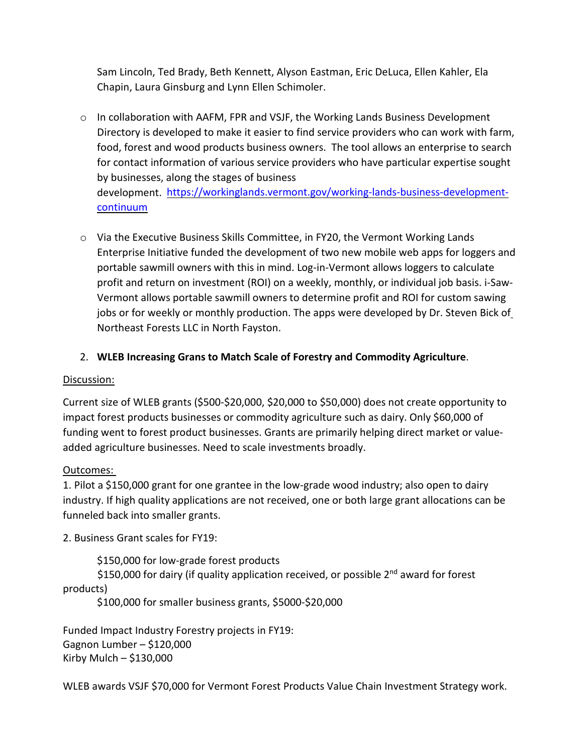Sam Lincoln, Ted Brady, Beth Kennett, Alyson Eastman, Eric DeLuca, Ellen Kahler, Ela Chapin, Laura Ginsburg and Lynn Ellen Schimoler.

- o In collaboration with AAFM, FPR and VSJF, the Working Lands Business Development Directory is developed to make it easier to find service providers who can work with farm, food, forest and wood products business owners. The tool allows an enterprise to search for contact information of various service providers who have particular expertise sought by businesses, along the stages of business development. [https://workinglands.vermont.gov/working-lands-business-development](https://workinglands.vermont.gov/working-lands-business-development-continuum)[continuum](https://workinglands.vermont.gov/working-lands-business-development-continuum)
- $\circ$  Via the Executive Business Skills Committee, in FY20, the Vermont Working Lands Enterprise Initiative funded the development of two new mobile web apps for loggers and portable sawmill owners with this in mind. Log-in-Vermont allows loggers to calculate profit and return on investment (ROI) on a weekly, monthly, or individual job basis. i-Saw-Vermont allows portable sawmill owners to determine profit and ROI for custom sawing jobs or for weekly or monthly production. The apps were developed by Dr. Steven Bick of Northeast Forests LLC in North Fayston.

## 2. **WLEB Increasing Grans to Match Scale of Forestry and Commodity Agriculture**.

#### Discussion:

Current size of WLEB grants (\$500-\$20,000, \$20,000 to \$50,000) does not create opportunity to impact forest products businesses or commodity agriculture such as dairy. Only \$60,000 of funding went to forest product businesses. Grants are primarily helping direct market or valueadded agriculture businesses. Need to scale investments broadly.

#### Outcomes:

1. Pilot a \$150,000 grant for one grantee in the low-grade wood industry; also open to dairy industry. If high quality applications are not received, one or both large grant allocations can be funneled back into smaller grants.

2. Business Grant scales for FY19:

\$150,000 for low-grade forest products \$150,000 for dairy (if quality application received, or possible 2<sup>nd</sup> award for forest products)

\$100,000 for smaller business grants, \$5000-\$20,000

Funded Impact Industry Forestry projects in FY19: Gagnon Lumber – \$120,000 Kirby Mulch – \$130,000

WLEB awards VSJF \$70,000 for Vermont Forest Products Value Chain Investment Strategy work.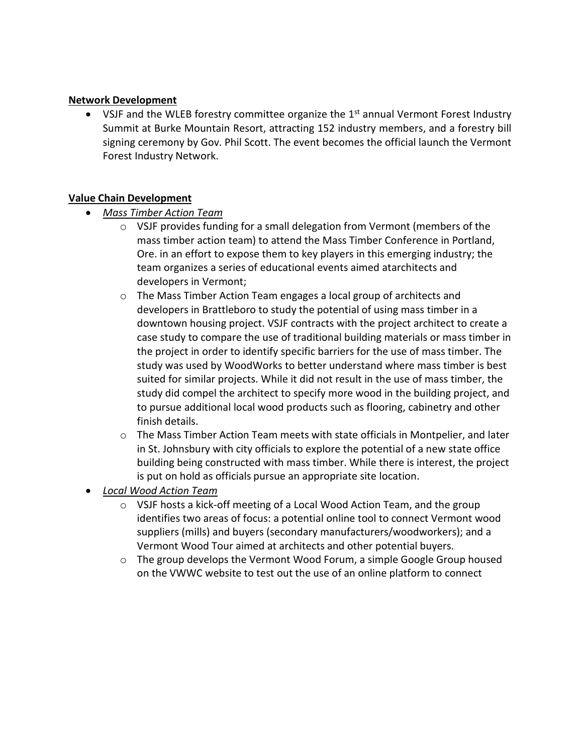#### **Network Development**

• VSJF and the WLEB forestry committee organize the 1<sup>st</sup> annual Vermont Forest Industry Summit at Burke Mountain Resort, attracting 152 industry members, and a forestry bill signing ceremony by Gov. Phil Scott. The event becomes the official launch the Vermont Forest Industry Network.

#### **Value Chain Development**

- *Mass Timber Action Team*
	- $\circ$  VSJF provides funding for a small delegation from Vermont (members of the mass timber action team) to attend the Mass Timber Conference in Portland, Ore. in an effort to expose them to key players in this emerging industry; the team organizes a series of educational events aimed atarchitects and developers in Vermont;
	- o The Mass Timber Action Team engages a local group of architects and developers in Brattleboro to study the potential of using mass timber in a downtown housing project. VSJF contracts with the project architect to create a case study to compare the use of traditional building materials or mass timber in the project in order to identify specific barriers for the use of mass timber. The study was used by WoodWorks to better understand where mass timber is best suited for similar projects. While it did not result in the use of mass timber, the study did compel the architect to specify more wood in the building project, and to pursue additional local wood products such as flooring, cabinetry and other finish details.
	- $\circ$  The Mass Timber Action Team meets with state officials in Montpelier, and later in St. Johnsbury with city officials to explore the potential of a new state office building being constructed with mass timber. While there is interest, the project is put on hold as officials pursue an appropriate site location.
- *Local Wood Action Team*
	- $\circ$  VSJF hosts a kick-off meeting of a Local Wood Action Team, and the group identifies two areas of focus: a potential online tool to connect Vermont wood suppliers (mills) and buyers (secondary manufacturers/woodworkers); and a Vermont Wood Tour aimed at architects and other potential buyers.
	- o The group develops the Vermont Wood Forum, a simple Google Group housed on the VWWC website to test out the use of an online platform to connect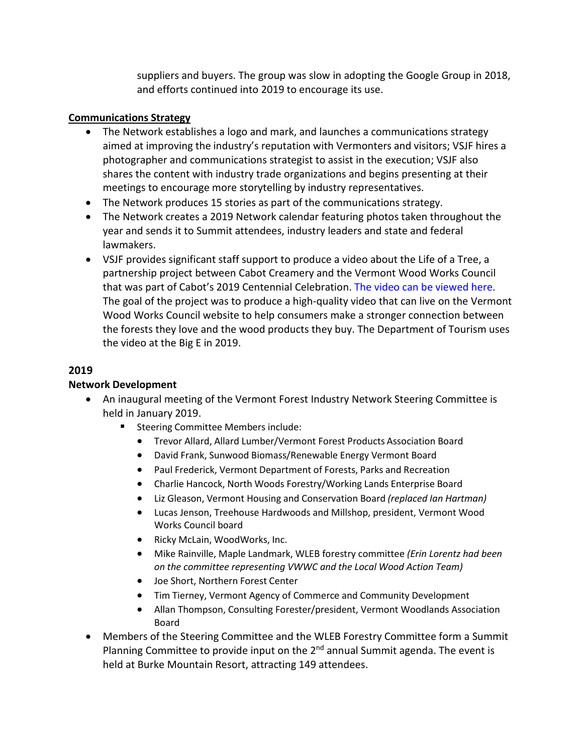suppliers and buyers. The group was slow in adopting the Google Group in 2018, and efforts continued into 2019 to encourage its use.

#### **Communications Strategy**

- The Network establishes a logo and mark, and launches a communications strategy aimed at improving the industry's reputation with Vermonters and visitors; VSJF hires a photographer and communications strategist to assist in the execution; VSJF also shares the content with industry trade organizations and begins presenting at their meetings to encourage more storytelling by industry representatives.
- The Network produces 15 stories as part of the communications strategy.
- The Network creates a 2019 Network calendar featuring photos taken throughout the year and sends it to Summit attendees, industry leaders and state and federal lawmakers.
- VSJF provides significant staff support to produce a video about the Life of a Tree, a partnership project between Cabot Creamery and the Vermont Wood Works Council that was part of Cabot's 2019 Centennial Celebration. The video can be viewed here. The goal of the project was to produce a high-quality video that can live on the Vermont Wood Works Council website to help consumers make a stronger connection between the forests they love and the wood products they buy. The Department of Tourism uses the video at the Big E in 2019.

## **2019**

#### **Network Development**

- An inaugural meeting of the Vermont Forest Industry Network Steering Committee is held in January 2019.
	- **EXEC** Steering Committee Members include:
		- Trevor Allard, Allard Lumber/Vermont Forest Products Association Board
		- David Frank, Sunwood Biomass/Renewable Energy Vermont Board
		- Paul Frederick, Vermont Department of Forests, Parks and Recreation
		- Charlie Hancock, North Woods Forestry/Working Lands Enterprise Board
		- Liz Gleason, Vermont Housing and Conservation Board *(replaced Ian Hartman)*
		- Lucas Jenson, Treehouse Hardwoods and Millshop, president, Vermont Wood Works Council board
		- Ricky McLain, WoodWorks, Inc.
		- Mike Rainville, Maple Landmark, WLEB forestry committee *(Erin Lorentz had been on the committee representing VWWC and the Local Wood Action Team)*
		- Joe Short, Northern Forest Center
		- Tim Tierney, Vermont Agency of Commerce and Community Development
		- Allan Thompson, Consulting Forester/president, Vermont Woodlands Association Board
- Members of the Steering Committee and the WLEB Forestry Committee form a Summit Planning Committee to provide input on the  $2<sup>nd</sup>$  annual Summit agenda. The event is held at Burke Mountain Resort, attracting 149 attendees.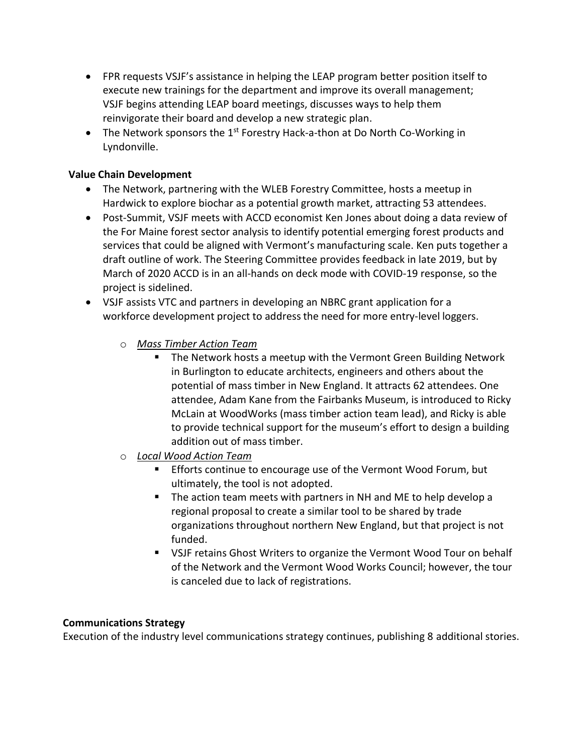- FPR requests VSJF's assistance in helping the LEAP program better position itself to execute new trainings for the department and improve its overall management; VSJF begins attending LEAP board meetings, discusses ways to help them reinvigorate their board and develop a new strategic plan.
- The Network sponsors the 1<sup>st</sup> Forestry Hack-a-thon at Do North Co-Working in Lyndonville.

#### **Value Chain Development**

- The Network, partnering with the WLEB Forestry Committee, hosts a meetup in Hardwick to explore biochar as a potential growth market, attracting 53 attendees.
- Post-Summit, VSJF meets with ACCD economist Ken Jones about doing a data review of the For Maine forest sector analysis to identify potential emerging forest products and services that could be aligned with Vermont's manufacturing scale. Ken puts together a draft outline of work. The Steering Committee provides feedback in late 2019, but by March of 2020 ACCD is in an all-hands on deck mode with COVID-19 response, so the project is sidelined.
- VSJF assists VTC and partners in developing an NBRC grant application for a workforce development project to address the need for more entry-level loggers.
	- o *Mass Timber Action Team*
		- The Network hosts a meetup with the Vermont Green Building Network in Burlington to educate architects, engineers and others about the potential of mass timber in New England. It attracts 62 attendees. One attendee, Adam Kane from the Fairbanks Museum, is introduced to Ricky McLain at WoodWorks (mass timber action team lead), and Ricky is able to provide technical support for the museum's effort to design a building addition out of mass timber.
	- o *Local Wood Action Team*
		- Efforts continue to encourage use of the Vermont Wood Forum, but ultimately, the tool is not adopted.
		- The action team meets with partners in NH and ME to help develop a regional proposal to create a similar tool to be shared by trade organizations throughout northern New England, but that project is not funded.
		- VSJF retains Ghost Writers to organize the Vermont Wood Tour on behalf of the Network and the Vermont Wood Works Council; however, the tour is canceled due to lack of registrations.

#### **Communications Strategy**

Execution of the industry level communications strategy continues, publishing 8 additional stories.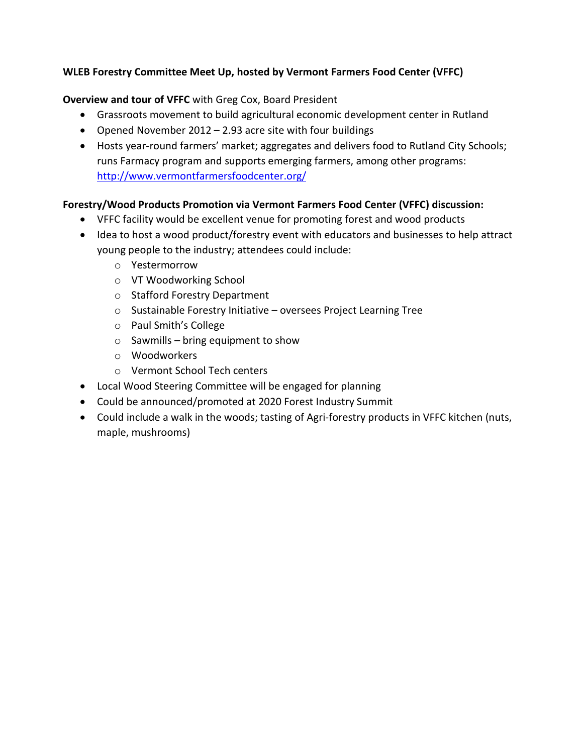## **WLEB Forestry Committee Meet Up, hosted by Vermont Farmers Food Center (VFFC)**

#### **Overview and tour of VFFC** with Greg Cox, Board President

- Grassroots movement to build agricultural economic development center in Rutland
- Opened November 2012 2.93 acre site with four buildings
- Hosts year-round farmers' market; aggregates and delivers food to Rutland City Schools; runs Farmacy program and supports emerging farmers, among other programs: <http://www.vermontfarmersfoodcenter.org/>

# **Forestry/Wood Products Promotion via Vermont Farmers Food Center (VFFC) discussion:**

- VFFC facility would be excellent venue for promoting forest and wood products
- Idea to host a wood product/forestry event with educators and businesses to help attract young people to the industry; attendees could include:
	- o Yestermorrow
	- o VT Woodworking School
	- o Stafford Forestry Department
	- o Sustainable Forestry Initiative oversees Project Learning Tree
	- o Paul Smith's College
	- $\circ$  Sawmills bring equipment to show
	- o Woodworkers
	- o Vermont School Tech centers
- Local Wood Steering Committee will be engaged for planning
- Could be announced/promoted at 2020 Forest Industry Summit
- Could include a walk in the woods; tasting of Agri-forestry products in VFFC kitchen (nuts, maple, mushrooms)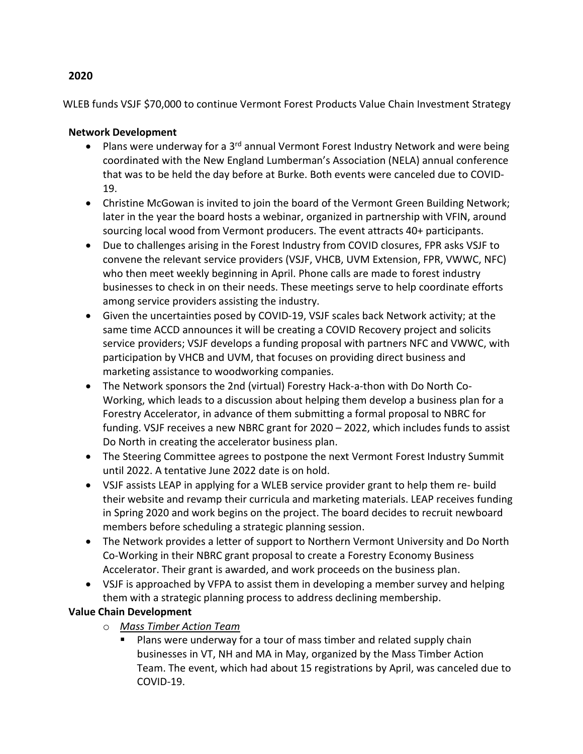# **Network Development**

• Plans were underway for a 3<sup>rd</sup> annual Vermont Forest Industry Network and were being coordinated with the New England Lumberman's Association (NELA) annual conference that was to be held the day before at Burke. Both events were canceled due to COVID-19.

WLEB funds VSJF \$70,000 to continue Vermont Forest Products Value Chain Investment Strategy

- Christine McGowan is invited to join the board of the Vermont Green Building Network; later in the year the board hosts a webinar, organized in partnership with VFIN, around sourcing local wood from Vermont producers. The event attracts 40+ participants.
- Due to challenges arising in the Forest Industry from COVID closures, FPR asks VSJF to convene the relevant service providers (VSJF, VHCB, UVM Extension, FPR, VWWC, NFC) who then meet weekly beginning in April. Phone calls are made to forest industry businesses to check in on their needs. These meetings serve to help coordinate efforts among service providers assisting the industry.
- Given the uncertainties posed by COVID-19, VSJF scales back Network activity; at the same time ACCD announces it will be creating a COVID Recovery project and solicits service providers; VSJF develops a funding proposal with partners NFC and VWWC, with participation by VHCB and UVM, that focuses on providing direct business and marketing assistance to woodworking companies.
- The Network sponsors the 2nd (virtual) Forestry Hack-a-thon with Do North Co-Working, which leads to a discussion about helping them develop a business plan for a Forestry Accelerator, in advance of them submitting a formal proposal to NBRC for funding. VSJF receives a new NBRC grant for 2020 – 2022, which includes funds to assist Do North in creating the accelerator business plan.
- The Steering Committee agrees to postpone the next Vermont Forest Industry Summit until 2022. A tentative June 2022 date is on hold.
- VSJF assists LEAP in applying for a WLEB service provider grant to help them re- build their website and revamp their curricula and marketing materials. LEAP receives funding in Spring 2020 and work begins on the project. The board decides to recruit new board members before scheduling a strategic planning session.
- The Network provides a letter of support to Northern Vermont University and Do North Co-Working in their NBRC grant proposal to create a Forestry Economy Business Accelerator. Their grant is awarded, and work proceeds on the business plan.
- VSJF is approached by VFPA to assist them in developing a member survey and helping them with a strategic planning process to address declining membership.

# **Value Chain Development**

- o *Mass Timber Action Team*
	- **Plans were underway for a tour of mass timber and related supply chain** businesses in VT, NH and MA in May, organized by the Mass Timber Action Team. The event, which had about 15 registrations by April, was canceled due to COVID-19.

#### **2020**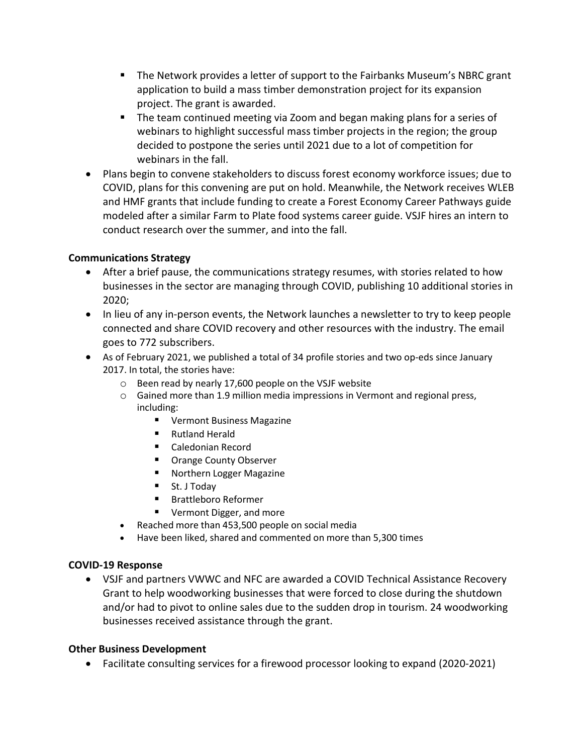- **The Network provides a letter of support to the Fairbanks Museum's NBRC grant** application to build a mass timber demonstration project for its expansion project. The grant is awarded.
- **The team continued meeting via Zoom and began making plans for a series of** webinars to highlight successful mass timber projects in the region; the group decided to postpone the series until 2021 due to a lot of competition for webinars in the fall.
- Plans begin to convene stakeholders to discuss forest economy workforce issues; due to COVID, plans for this convening are put on hold. Meanwhile, the Network receives WLEB and HMF grants that include funding to create a Forest Economy Career Pathways guide modeled after a similar Farm to Plate food systems career guide. VSJF hires an intern to conduct research over the summer, and into the fall.

#### **Communications Strategy**

- After a brief pause, the communications strategy resumes, with stories related to how businesses in the sector are managing through COVID, publishing 10 additional stories in 2020;
- In lieu of any in-person events, the Network launches a newsletter to try to keep people connected and share COVID recovery and other resources with the industry. The email goes to 772 subscribers.
- As of February 2021, we published a total of 34 profile stories and two op-eds since January 2017. In total, the stories have:
	- o Been read by nearly 17,600 people on the VSJF website
	- o Gained more than 1.9 million media impressions in Vermont and regional press, including:
		- **U** Vermont Business Magazine
		- Rutland Herald
		- Caledonian Record
		- **Orange County Observer**
		- Northern Logger Magazine
		- St. J Today
		- Brattleboro Reformer
		- **Vermont Digger, and more**
	- Reached more than 453,500 people on social media
	- Have been liked, shared and commented on more than 5,300 times

#### **COVID-19 Response**

• VSJF and partners VWWC and NFC are awarded a COVID Technical Assistance Recovery Grant to help woodworking businesses that were forced to close during the shutdown and/or had to pivot to online sales due to the sudden drop in tourism. 24 woodworking businesses received assistance through the grant.

#### **Other Business Development**

• Facilitate consulting services for a firewood processor looking to expand (2020-2021)